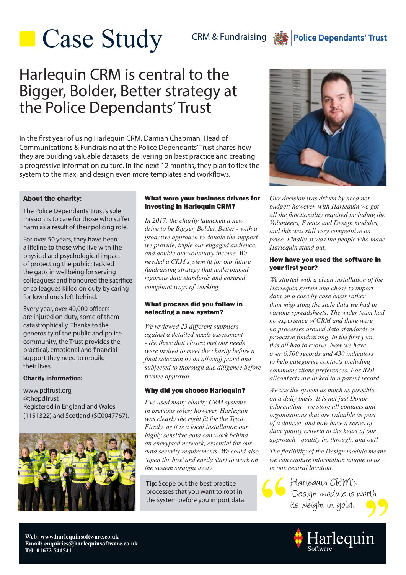# **Case Study**

CRM & Fundraising **圖** 

### **Police Dependants' Trust**

## Harlequin CRM is central to the Bigger, Bolder, Better strategy at the Police Dependants' Trust

In the first year of using Harlequin CRM, Damian Chapman, Head of Communications & Fundraising at the Police Dependants' Trust shares how they are building valuable datasets, delivering on best practice and creating a progressive information culture. In the next 12 months, they plan to flex the system to the max, and design even more templates and workflows.

### About the charity:

The Police Dependants' Trust's sole mission is to care for those who suffer harm as a result of their policing role.

For over 50 years, they have been a lifeline to those who live with the physical and psychological impact of protecting the public; tackled the gaps in wellbeing for serving colleagues; and honoured the sacrifice of colleagues killed on duty by caring for loved ones left behind.

Every year, over 40,000 officers are injured on duty, some of them catastrophically. Thanks to the generosity of the public and police community, the Trust provides the practical, emotional and financial support they need to rebuild their lives.

### Charity information:

www.pdtrust.org @thepdtrust Registered in England and Wales (1151322) and Scotland (SC0047767).



#### What were your business drivers for investing in Harlequin CRM?

*In 2017, the charity launched a new drive to be Bigger, Bolder, Better - with a proactive approach to double the support we provide, triple our engaged audience, and double our voluntary income. We needed a CRM system fit for our future fundraising strategy that underpinned rigorous data standards and ensured compliant ways of working.*

### What process did you follow in selecting a new system?

*We reviewed 23 different suppliers against a detailed needs assessment - the three that closest met our needs were invited to meet the charity before a final selection by an all-staff panel and subjected to thorough due diligence before trustee approval.*

### Why did you choose Harlequin?

*I've used many charity CRM systems in previous roles; however, Harlequin was clearly the right fit for the Trust. Firstly, as it is a local installation our highly sensitive data can work behind an encrypted network, essential for our data security requirements. We could also 'open the box' and easily start to work on the system straight away.*

**Tip:** Scope out the best practice processes that you want to root in the system before you import data.



*Our decision was driven by need not budget; however, with Harlequin we got all the functionality required including the Volunteers, Events and Design modules, and this was still very competitive on price. Finally, it was the people who made Harlequin stand out.*

### How have you used the software in your first year?

*We started with a clean installation of the Harlequin system and chose to import data on a case by case basis rather than migrating the stale data we had in various spreadsheets. The wider team had no experience of CRM and there were no processes around data standards or proactive fundraising. In the first year, this all had to evolve. Now we have over 6,500 records and 430 indicators to help categorise contacts including communications preferences. For B2B, allcontacts are linked to a parent record.*

*We use the system as much as possible on a daily basis. It is not just Donor information - we store all contacts and organisations that are valuable as part of a dataset, and now have a series of data quality criteria at the heart of our approach - quality in, through, and out!*

*The flexibility of the Design module means we can capture information unique to us – in one central location.*

 its weight in gold. Harlequin CRM's Design module is worth



**Web: www.harlequinsoftware.co.uk Email: enquiries@harlequinsoftware.co.uk Tel: 01672 541541**